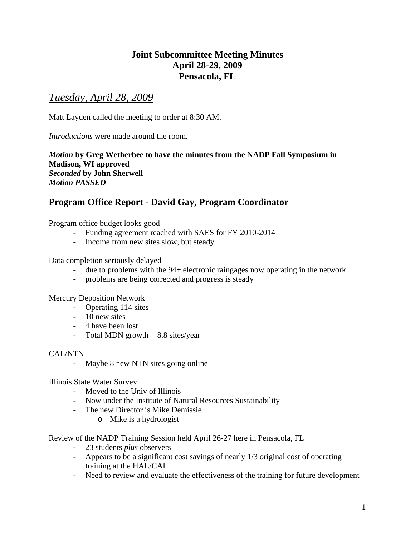# **Joint Subcommittee Meeting Minutes April 28-29, 2009 Pensacola, FL**

# *Tuesday, April 28, 2009*

Matt Layden called the meeting to order at 8:30 AM.

*Introductions* were made around the room.

*Motion* **by Greg Wetherbee to have the minutes from the NADP Fall Symposium in Madison, WI approved**  *Seconded* **by John Sherwell**  *Motion PASSED* 

# **Program Office Report - David Gay, Program Coordinator**

Program office budget looks good

- Funding agreement reached with SAES for FY 2010-2014
- Income from new sites slow, but steady

Data completion seriously delayed

- due to problems with the 94+ electronic raingages now operating in the network
- problems are being corrected and progress is steady

Mercury Deposition Network

- Operating 114 sites
- 10 new sites
- 4 have been lost
- Total MDN growth  $= 8.8$  sites/year

### CAL/NTN

- Maybe 8 new NTN sites going online

#### Illinois State Water Survey

- Moved to the Univ of Illinois
- Now under the Institute of Natural Resources Sustainability
- The new Director is Mike Demissie
	- o Mike is a hydrologist

Review of the NADP Training Session held April 26-27 here in Pensacola, FL

- 23 students *plus* observers
- Appears to be a significant cost savings of nearly 1/3 original cost of operating training at the HAL/CAL
- Need to review and evaluate the effectiveness of the training for future development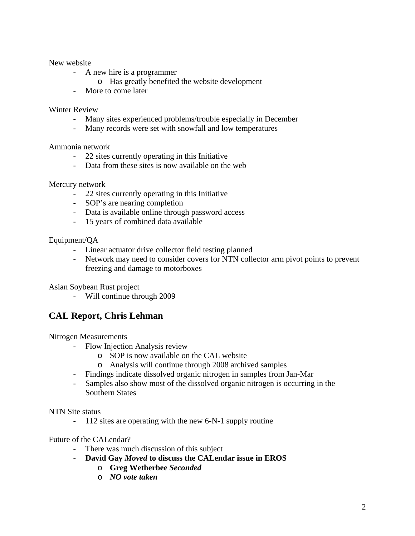#### New website

- A new hire is a programmer
	- o Has greatly benefited the website development
- More to come later

#### Winter Review

- Many sites experienced problems/trouble especially in December
- Many records were set with snowfall and low temperatures

#### Ammonia network

- 22 sites currently operating in this Initiative
- Data from these sites is now available on the web

#### Mercury network

- 22 sites currently operating in this Initiative
- SOP's are nearing completion
- Data is available online through password access
- 15 years of combined data available

#### Equipment/QA

- Linear actuator drive collector field testing planned
- Network may need to consider covers for NTN collector arm pivot points to prevent freezing and damage to motorboxes

Asian Soybean Rust project

- Will continue through 2009

### **CAL Report, Chris Lehman**

Nitrogen Measurements

- Flow Injection Analysis review
	- o SOP is now available on the CAL website
	- o Analysis will continue through 2008 archived samples
- Findings indicate dissolved organic nitrogen in samples from Jan-Mar
- Samples also show most of the dissolved organic nitrogen is occurring in the Southern States

#### NTN Site status

- 112 sites are operating with the new 6-N-1 supply routine

#### Future of the CALendar?

- There was much discussion of this subject
- **David Gay** *Moved* **to discuss the CALendar issue in EROS** 
	- o **Greg Wetherbee** *Seconded*
	- o *NO vote taken*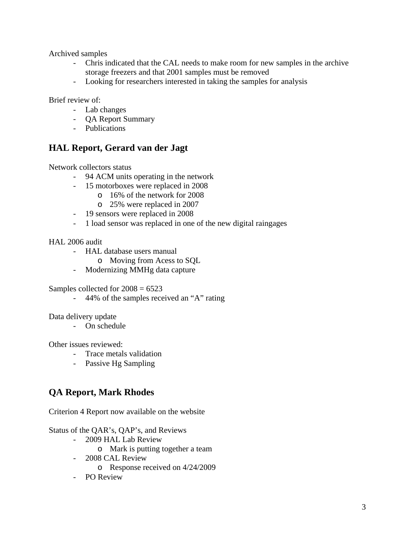Archived samples

- Chris indicated that the CAL needs to make room for new samples in the archive storage freezers and that 2001 samples must be removed
- Looking for researchers interested in taking the samples for analysis

Brief review of:

- Lab changes
- QA Report Summary
- Publications

### **HAL Report, Gerard van der Jagt**

Network collectors status

- 94 ACM units operating in the network
- 15 motorboxes were replaced in 2008
	- o 16% of the network for 2008
		- o 25% were replaced in 2007
- 19 sensors were replaced in 2008
- 1 load sensor was replaced in one of the new digital raingages

HAL 2006 audit

- HAL database users manual
	- o Moving from Acess to SQL
- Modernizing MMHg data capture

Samples collected for  $2008 = 6523$ 

- 44% of the samples received an "A" rating

Data delivery update

- On schedule

Other issues reviewed:

- Trace metals validation
- Passive Hg Sampling

# **QA Report, Mark Rhodes**

Criterion 4 Report now available on the website

Status of the QAR's, QAP's, and Reviews

- 2009 HAL Lab Review
	- o Mark is putting together a team
- 2008 CAL Review
	- o Response received on 4/24/2009
- PO Review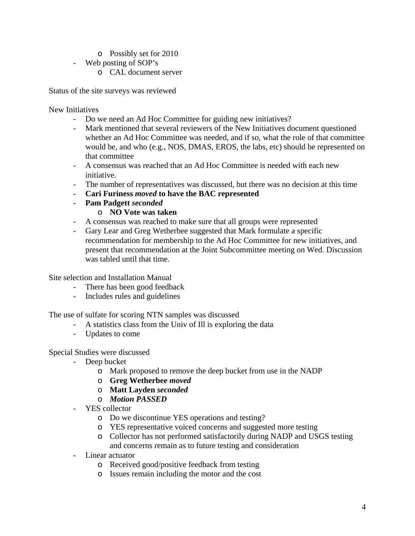- o Possibly set for 2010
- Web posting of SOP's
	- o CAL document server

Status of the site surveys was reviewed

New Initiatives

- Do we need an Ad Hoc Committee for guiding new initiatives?
- Mark mentioned that several reviewers of the New Initiatives document questioned whether an Ad Hoc Committee was needed, and if so, what the role of that committee would be, and who (e.g., NOS, DMAS, EROS, the labs, etc) should be represented on that committee
- A consensus was reached that an Ad Hoc Committee is needed with each new initiative.
- The number of representatives was discussed, but there was no decision at this time
- **Cari Furiness** *moved* **to have the BAC represented**
- **Pam Padgett** *seconded*
	- o **NO Vote was taken**
- A consensus was reached to make sure that all groups were represented
- Gary Lear and Greg Wetherbee suggested that Mark formulate a specific recommendation for membership to the Ad Hoc Committee for new initiatives, and present that recommendation at the Joint Subcommittee meeting on Wed. Discussion was tabled until that time.

Site selection and Installation Manual

- There has been good feedback
- Includes rules and guidelines

The use of sulfate for scoring NTN samples was discussed

- A statistics class from the Univ of Ill is exploring the data
- Updates to come

Special Studies were discussed

- Deep bucket
	- o Mark proposed to remove the deep bucket from use in the NADP
	- o **Greg Wetherbee** *moved*
	- o **Matt Layden** *seconded*
	- o *Motion PASSED*
- YES collector
	- o Do we discontinue YES operations and testing?
	- o YES representative voiced concerns and suggested more testing
	- o Collector has not performed satisfactorily during NADP and USGS testing and concerns remain as to future testing and consideration
- Linear actuator
	- o Received good/positive feedback from testing
	- o Issues remain including the motor and the cost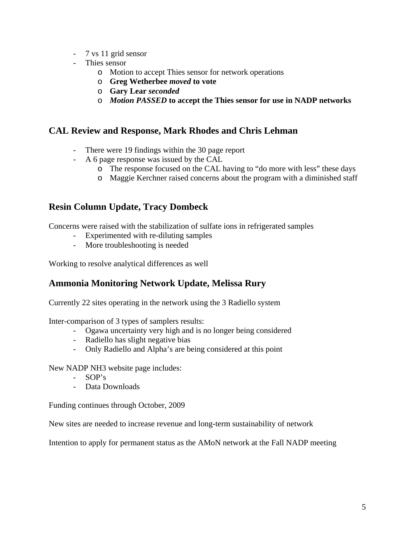- 7 vs 11 grid sensor
- Thies sensor
	- o Motion to accept Thies sensor for network operations
	- o **Greg Wetherbee** *moved* **to vote**
	- o **Gary Lear** *seconded*
	- o *Motion PASSED* **to accept the Thies sensor for use in NADP networks**

### **CAL Review and Response, Mark Rhodes and Chris Lehman**

- There were 19 findings within the 30 page report
- A 6 page response was issued by the CAL
	- o The response focused on the CAL having to "do more with less" these days
	- o Maggie Kerchner raised concerns about the program with a diminished staff

### **Resin Column Update, Tracy Dombeck**

Concerns were raised with the stabilization of sulfate ions in refrigerated samples

- Experimented with re-diluting samples
- More troubleshooting is needed

Working to resolve analytical differences as well

### **Ammonia Monitoring Network Update, Melissa Rury**

Currently 22 sites operating in the network using the 3 Radiello system

Inter-comparison of 3 types of samplers results:

- Ogawa uncertainty very high and is no longer being considered
- Radiello has slight negative bias
- Only Radiello and Alpha's are being considered at this point

New NADP NH3 website page includes:

- SOP's
- Data Downloads

Funding continues through October, 2009

New sites are needed to increase revenue and long-term sustainability of network

Intention to apply for permanent status as the AMoN network at the Fall NADP meeting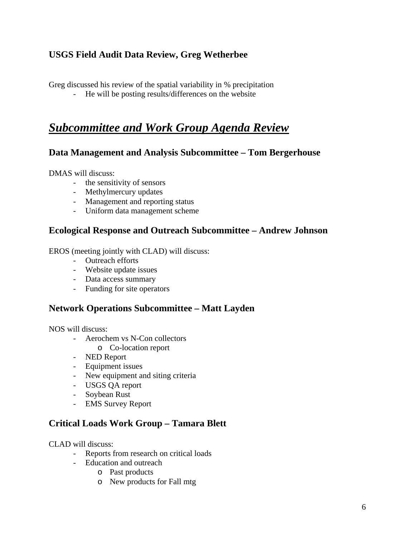# **USGS Field Audit Data Review, Greg Wetherbee**

Greg discussed his review of the spatial variability in % precipitation

- He will be posting results/differences on the website

# *Subcommittee and Work Group Agenda Review*

### **Data Management and Analysis Subcommittee – Tom Bergerhouse**

DMAS will discuss:

- the sensitivity of sensors
- Methylmercury updates
- Management and reporting status
- Uniform data management scheme

### **Ecological Response and Outreach Subcommittee – Andrew Johnson**

EROS (meeting jointly with CLAD) will discuss:

- Outreach efforts
- Website update issues
- Data access summary
- Funding for site operators

### **Network Operations Subcommittee – Matt Layden**

NOS will discuss:

- Aerochem vs N-Con collectors
	- o Co-location report
- NED Report
- Equipment issues
- New equipment and siting criteria
- USGS QA report
- Soybean Rust
- EMS Survey Report

### **Critical Loads Work Group – Tamara Blett**

CLAD will discuss:

- Reports from research on critical loads
- Education and outreach
	- o Past products
	- o New products for Fall mtg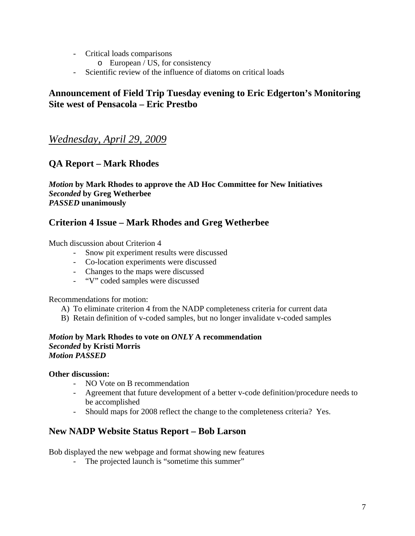- Critical loads comparisons
	- o European / US, for consistency
- Scientific review of the influence of diatoms on critical loads

### **Announcement of Field Trip Tuesday evening to Eric Edgerton's Monitoring Site west of Pensacola – Eric Prestbo**

# *Wednesday, April 29, 2009*

### **QA Report – Mark Rhodes**

*Motion* **by Mark Rhodes to approve the AD Hoc Committee for New Initiatives**  *Seconded* **by Greg Wetherbee**  *PASSED* **unanimously** 

### **Criterion 4 Issue – Mark Rhodes and Greg Wetherbee**

Much discussion about Criterion 4

- Snow pit experiment results were discussed
- Co-location experiments were discussed
- Changes to the maps were discussed
- "V" coded samples were discussed

Recommendations for motion:

- A) To eliminate criterion 4 from the NADP completeness criteria for current data
- B) Retain definition of v-coded samples, but no longer invalidate v-coded samples

#### *Motion* **by Mark Rhodes to vote on** *ONLY* **A recommendation**  *Seconded* **by Kristi Morris**  *Motion PASSED*

#### **Other discussion:**

- NO Vote on B recommendation
- Agreement that future development of a better v-code definition/procedure needs to be accomplished
- Should maps for 2008 reflect the change to the completeness criteria? Yes.

### **New NADP Website Status Report – Bob Larson**

Bob displayed the new webpage and format showing new features

- The projected launch is "sometime this summer"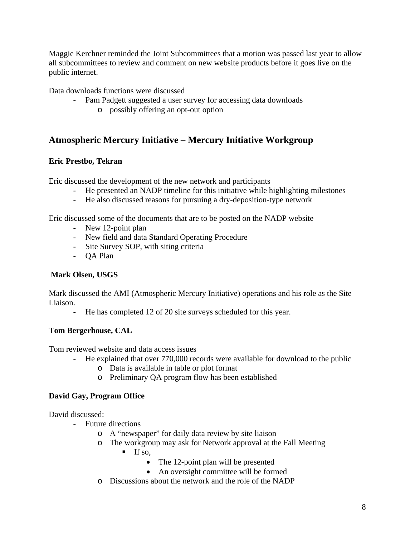Maggie Kerchner reminded the Joint Subcommittees that a motion was passed last year to allow all subcommittees to review and comment on new website products before it goes live on the public internet.

Data downloads functions were discussed

- Pam Padgett suggested a user survey for accessing data downloads
	- o possibly offering an opt-out option

# **Atmospheric Mercury Initiative – Mercury Initiative Workgroup**

### **Eric Prestbo, Tekran**

Eric discussed the development of the new network and participants

- He presented an NADP timeline for this initiative while highlighting milestones
- He also discussed reasons for pursuing a dry-deposition-type network

Eric discussed some of the documents that are to be posted on the NADP website

- New 12-point plan
- New field and data Standard Operating Procedure
- Site Survey SOP, with siting criteria
- QA Plan

### **Mark Olsen, USGS**

Mark discussed the AMI (Atmospheric Mercury Initiative) operations and his role as the Site Liaison.

- He has completed 12 of 20 site surveys scheduled for this year.

### **Tom Bergerhouse, CAL**

Tom reviewed website and data access issues

- He explained that over 770,000 records were available for download to the public
	- o Data is available in table or plot format
	- o Preliminary QA program flow has been established

### **David Gay, Program Office**

David discussed:

- Future directions
	- o A "newspaper" for daily data review by site liaison
	- o The workgroup may ask for Network approval at the Fall Meeting
		- $\blacksquare$  If so,
			- The 12-point plan will be presented
			- An oversight committee will be formed
	- o Discussions about the network and the role of the NADP